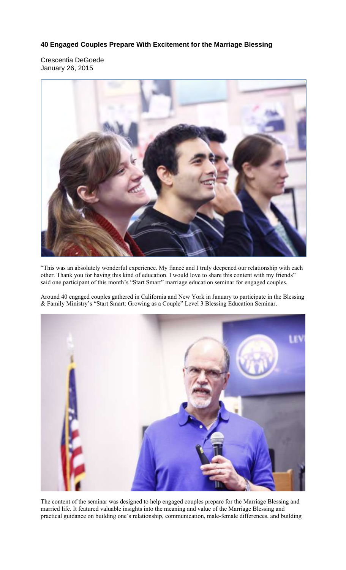## **40 Engaged Couples Prepare With Excitement for the Marriage Blessing**

Crescentia DeGoede January 26, 2015



"This was an absolutely wonderful experience. My fiancé and I truly deepened our relationship with each other. Thank you for having this kind of education. I would love to share this content with my friends" said one participant of this month's "Start Smart" marriage education seminar for engaged couples.

Around 40 engaged couples gathered in California and New York in January to participate in the Blessing & Family Ministry's "Start Smart: Growing as a Couple" Level 3 Blessing Education Seminar.



The content of the seminar was designed to help engaged couples prepare for the Marriage Blessing and married life. It featured valuable insights into the meaning and value of the Marriage Blessing and practical guidance on building one's relationship, communication, male-female differences, and building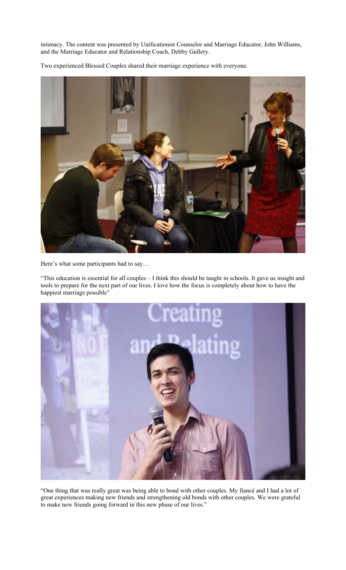intimacy. The content was presented by Unificationist Counselor and Marriage Educator, John Williams, and the Marriage Educator and Relationship Coach, Debby Gullery.

Two experienced Blessed Couples shared their marriage experience with everyone.



Here's what some participants had to say…

"This education is essential for all couples – I think this should be taught in schools. It gave us insight and tools to prepare for the next part of our lives. I love how the focus is completely about how to have the happiest marriage possible"



"One thing that was really great was being able to bond with other couples. My fiancé and I had a lot of great experiences making new friends and strengthening old bonds with other couples. We were grateful to make new friends going forward in this new phase of our lives."